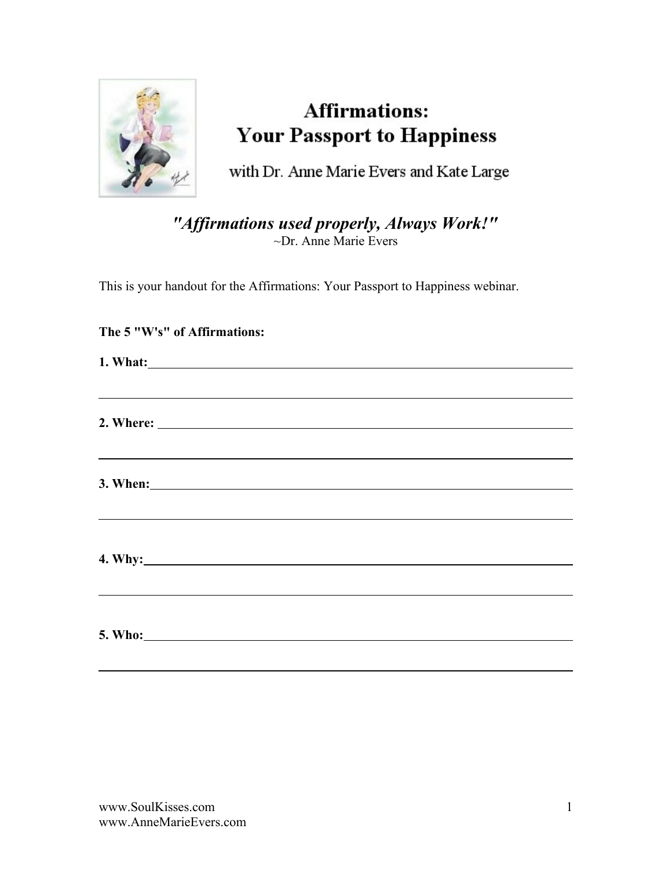

# **Affirmations: Your Passport to Happiness**

with Dr. Anne Marie Evers and Kate Large

*"Affirmations used properly, Always Work!"* ~Dr. Anne Marie Evers

This is your handout for the Affirmations: Your Passport to Happiness webinar.

| ,我们也不能会有一个人的事情。""我们的人们,我们也不能会有一个人的人,我们也不能会有一个人的人,我们也不能会有一个人的人,我们也不能会有一个人的人,我们也不能                                           |  |  |  |
|----------------------------------------------------------------------------------------------------------------------------|--|--|--|
| <u>and the contract of the contract of the contract of the contract of the contract of the contract of the contract of</u> |  |  |  |
|                                                                                                                            |  |  |  |
|                                                                                                                            |  |  |  |

### **The 5 "W's" of Affirmations:**

 $\overline{a}$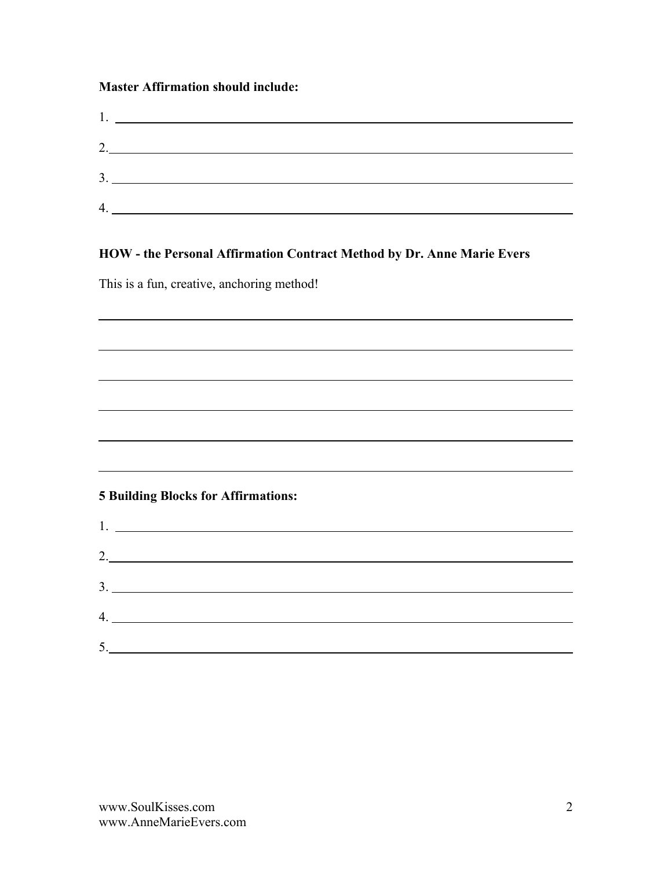#### **Master Affirmation should include:**

|   | <u>l. __________________________</u>                                                                                 |
|---|----------------------------------------------------------------------------------------------------------------------|
|   | 2.                                                                                                                   |
|   |                                                                                                                      |
|   |                                                                                                                      |
| 4 | <u> 1980 - Jan Samuel Barbara, político establecente de la propia de la propia de la propia de la propia de la p</u> |

#### **HOW - the Personal Affirmation Contract Method by Dr. Anne Marie Evers**

This is a fun, creative, anchoring method!

 $\overline{a}$ 

#### **5 Building Blocks for Affirmations:**

| 2.                            |  |  |
|-------------------------------|--|--|
|                               |  |  |
|                               |  |  |
| $5. \underline{\hspace{2cm}}$ |  |  |

<u> 1989 - Johann Barn, mars ann an t-Amhain Aonaich an t-Aonaich an t-Aonaich an t-Aonaich an t-Aonaich an t-Aon</u>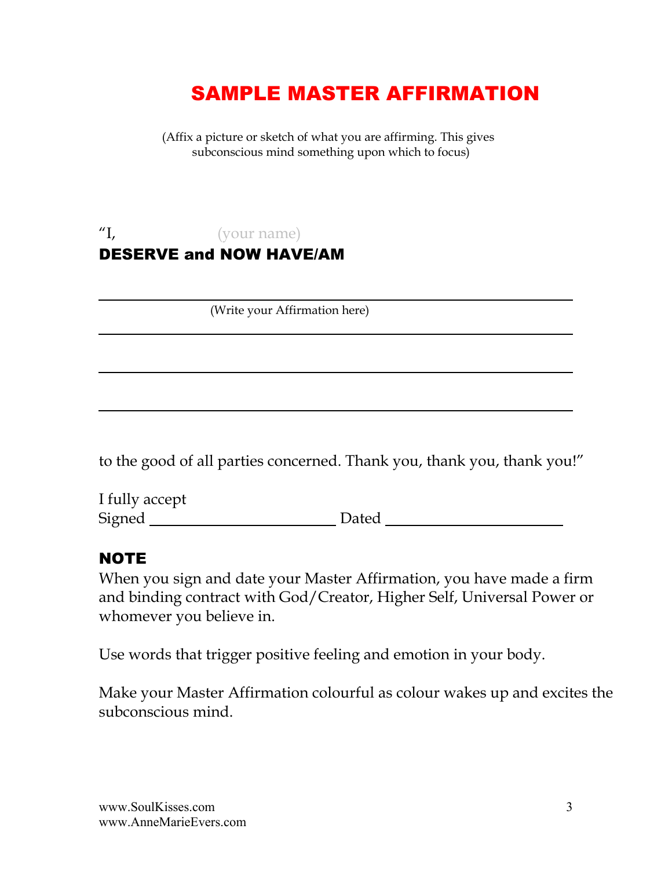# SAMPLE MASTER AFFIRMATION

 (Affix a picture or sketch of what you are affirming. This gives subconscious mind something upon which to focus)

### "I, (your name) DESERVE and NOW HAVE/AM

(Write your Affirmation here)

to the good of all parties concerned. Thank you, thank you, thank you!"

I fully accept Signed Communication Dated Communications Dated Communications and Dated Communications of Dated Communications of Dated Communications and Dated Communications of Dated Communications and Dated Communications of Dated Com

### **NOTE**

 $\overline{a}$ 

When you sign and date your Master Affirmation, you have made a firm and binding contract with God/Creator, Higher Self, Universal Power or whomever you believe in.

Use words that trigger positive feeling and emotion in your body.

Make your Master Affirmation colourful as colour wakes up and excites the subconscious mind.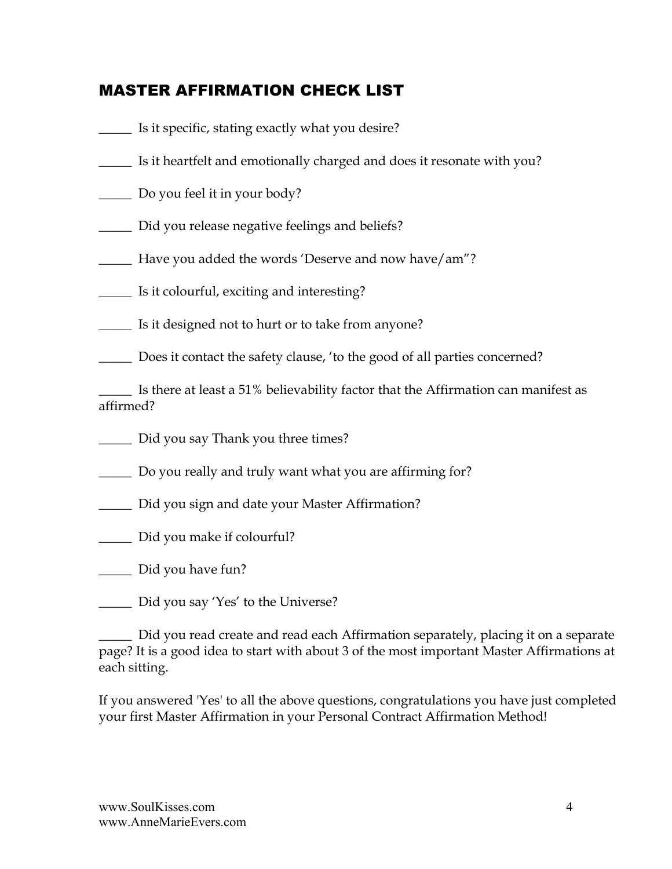### MASTER AFFIRMATION CHECK LIST

- \_\_\_\_\_ Is it specific, stating exactly what you desire?
- \_\_\_\_\_ Is it heartfelt and emotionally charged and does it resonate with you?
- \_\_\_\_\_ Do you feel it in your body?
- \_\_\_\_\_ Did you release negative feelings and beliefs?
- \_\_\_\_\_ Have you added the words 'Deserve and now have/am"?
- \_\_\_\_\_ Is it colourful, exciting and interesting?
- \_\_\_\_\_ Is it designed not to hurt or to take from anyone?
- \_\_\_\_\_ Does it contact the safety clause, 'to the good of all parties concerned?

\_\_\_\_\_ Is there at least a 51% believability factor that the Affirmation can manifest as affirmed?

- \_\_\_\_\_ Did you say Thank you three times?
- \_\_\_\_\_ Do you really and truly want what you are affirming for?
- \_\_\_\_\_ Did you sign and date your Master Affirmation?
- \_\_\_\_\_ Did you make if colourful?
- \_\_\_\_\_ Did you have fun?
- \_\_\_\_\_ Did you say 'Yes' to the Universe?

Did you read create and read each Affirmation separately, placing it on a separate page? It is a good idea to start with about 3 of the most important Master Affirmations at each sitting.

If you answered 'Yes' to all the above questions, congratulations you have just completed your first Master Affirmation in your Personal Contract Affirmation Method!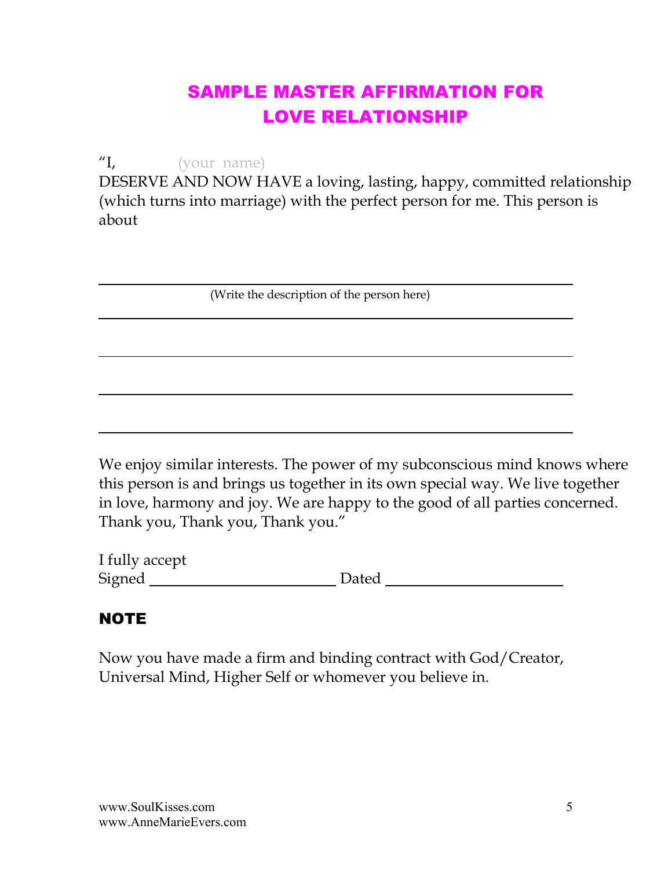## SAMPLE MASTER AFFIRMATION FOR LOVE RELATIONSHIP

"I, (your name)

DESERVE AND NOW HAVE a loving, lasting, happy, committed relationship (which turns into marriage) with the perfect person for me. This person is about

(Write the description of the person here)

We enjoy similar interests. The power of my subconscious mind knows where this person is and brings us together in its own special way. We live together in love, harmony and joy. We are happy to the good of all parties concerned. Thank you, Thank you, Thank you."

| I fully accept |       |  |
|----------------|-------|--|
| Signed         | Dated |  |

## **NOTE**

 $\overline{a}$ 

Now you have made a firm and binding contract with God/Creator, Universal Mind, Higher Self or whomever you believe in.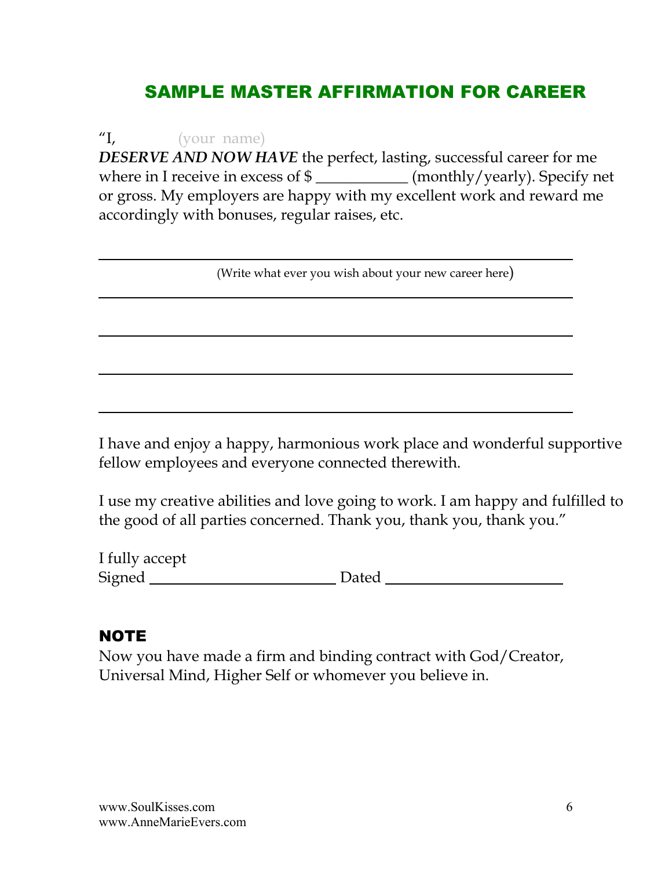## SAMPLE MASTER AFFIRMATION FOR CAREER

"I, (your name) *DESERVE AND NOW HAVE* the perfect, lasting, successful career for me where in I receive in excess of \$ \_\_\_\_\_\_\_\_\_\_\_\_\_ (monthly/yearly). Specify net or gross. My employers are happy with my excellent work and reward me accordingly with bonuses, regular raises, etc.

(Write what ever you wish about your new career here)

I have and enjoy a happy, harmonious work place and wonderful supportive fellow employees and everyone connected therewith.

I use my creative abilities and love going to work. I am happy and fulfilled to the good of all parties concerned. Thank you, thank you, thank you."

I fully accept Signed Dated

# **NOTE**

 $\overline{a}$ 

Now you have made a firm and binding contract with God/Creator, Universal Mind, Higher Self or whomever you believe in.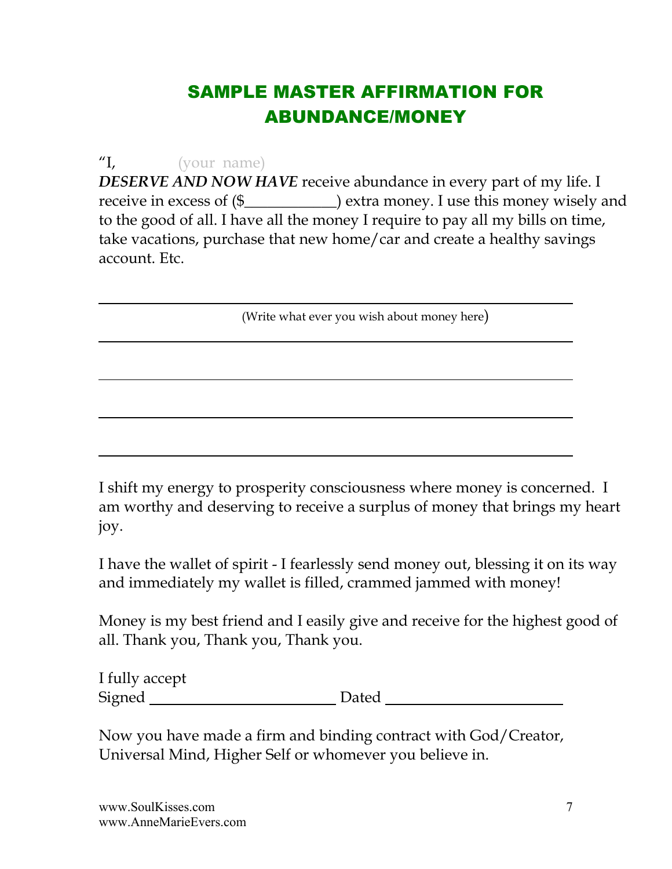## SAMPLE MASTER AFFIRMATION FOR ABUNDANCE/MONEY

"I, (your name)

 $\overline{a}$ 

*DESERVE AND NOW HAVE* receive abundance in every part of my life. I receive in excess of (\$\_\_\_\_\_\_\_\_\_\_\_\_) extra money. I use this money wisely and to the good of all. I have all the money I require to pay all my bills on time, take vacations, purchase that new home/car and create a healthy savings account. Etc.

(Write what ever you wish about money here)

I shift my energy to prosperity consciousness where money is concerned. I am worthy and deserving to receive a surplus of money that brings my heart joy.

I have the wallet of spirit - I fearlessly send money out, blessing it on its way and immediately my wallet is filled, crammed jammed with money!

Money is my best friend and I easily give and receive for the highest good of all. Thank you, Thank you, Thank you.

| I fully accept |       |
|----------------|-------|
| Signed         | Dated |

Now you have made a firm and binding contract with God/Creator, Universal Mind, Higher Self or whomever you believe in.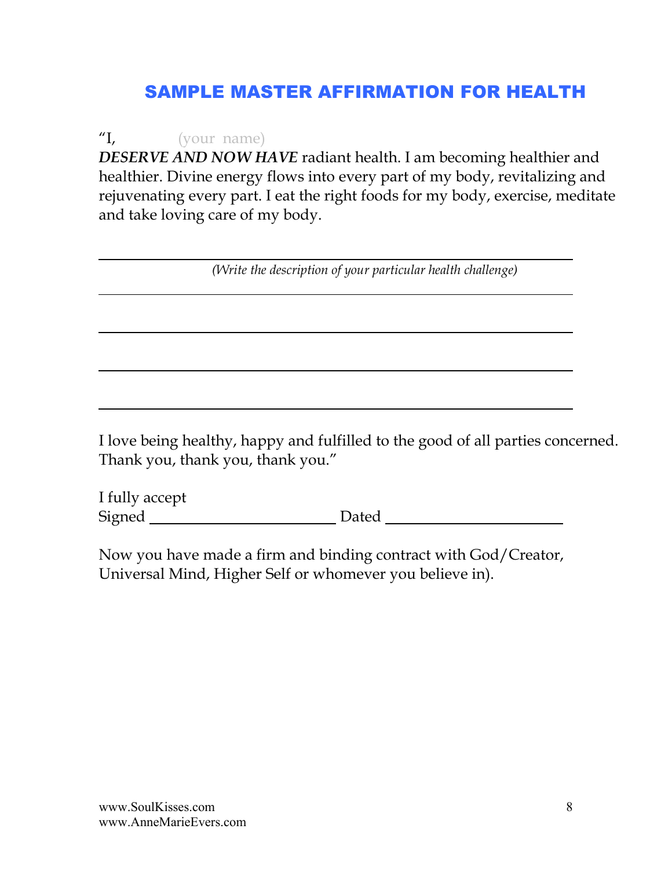## SAMPLE MASTER AFFIRMATION FOR HEALTH

"I, (your name) *DESERVE AND NOW HAVE* radiant health. I am becoming healthier and healthier. Divine energy flows into every part of my body, revitalizing and rejuvenating every part. I eat the right foods for my body, exercise, meditate and take loving care of my body.

*(Write the description of your particular health challenge)*

I love being healthy, happy and fulfilled to the good of all parties concerned. Thank you, thank you, thank you."

I fully accept Signed Dated

Now you have made a firm and binding contract with God/Creator, Universal Mind, Higher Self or whomever you believe in).

 $\overline{a}$